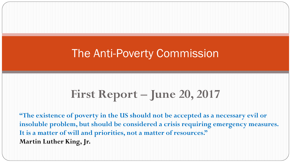# **First Report – June 20, 2017**

**"The existence of poverty in the US should not be accepted as a necessary evil or insoluble problem, but should be considered a crisis requiring emergency measures. It is a matter of will and priorities, not a matter of resources." Martin Luther King, Jr.**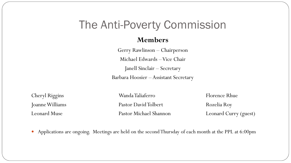#### **Members**

Gerry Rawlinson – Chairperson Michael Edwards –Vice Chair Janell Sinclair – Secretary Barbara Hoosier – Assistant Secretary

Cheryl Riggins **Wanda Taliaferro** Florence Rhue Joanne Williams **Pastor David Tolbert** Rozelia Roy Leonard Muse Pastor Michael Shannon Leonard Curry (guest)

Applications are ongoing. Meetings are held on the second Thursday of each month at the PPL at 6:00pm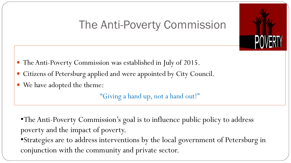- The Anti-Poverty Commission was established in July of 2015.
- Citizens of Petersburg applied and were appointed by City Council.
- We have adopted the theme:

"Giving a hand up, not a hand out!"

•The Anti-Poverty Commission's goal is to influence public policy to address poverty and the impact of poverty.

•Strategies are to address interventions by the local government of Petersburg in conjunction with the community and private sector.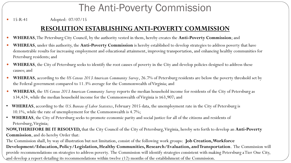15-R-41 Adopted: 07/07/15

### **RESOLUTION ESTABLISHING ANTI-POVERTY COMMISSION**

- **WHEREAS**, The Petersburg City Council, by the authority vested in them, hereby creates the **Anti-Poverty Commission**; and
- **WHEREAS**, under this authority, the **Anti-Poverty Commission** is hereby established to develop strategies to address poverty that have demonstrable results for increasing employment and educational attainment, improving transportation, and enhancing healthy communities for Petersburg residents; and
- **WHEREAS**, the City of Petersburg seeks to identify the root causes of poverty in the City and develop policies designed to address these causes; and
- **WHEREAS**, according to the *US Census 2013 American Community Survey*, 26.7% of Petersburg residents are below the poverty threshold set by the Federal government compared to 11.3% average for the Commonwealth of Virginia; and
- **WHEREAS**, the *US Census 2013 American Community Survey* reports the median household income for residents of the City of Petersburg as \$34,424, while the median household income for the Commonwealth of Virginia is \$63,907; and
- **WHEREAS**, according to the *U.S. Bureau of Labor Statistics*, February 2015 data, the unemployment rate in the City of Petersburg is 10.1%, while the rate of unemployment for the Commonwealth is 4.7%;
- **WHEREAS**, the City of Petersburg seeks to promote economic parity and social justice for all of the citizens and residents of Petersburg, Virginia;
- **NOW, THEREFORE BE IT RESOLVED,** that the City Council of the City of Petersburg, Virginia, hereby sets forth to develop an **Anti-Poverty Commission**, and do hereby Order that:

The Commission shall, by way of illustration but not limitation, consist of the following work groups: **Job Creation, Workforce** 

**Development/Education, Policy/Legislation, Healthy Communities, Research/Evaluation, and Transportation**. The Commission will provide recommendations on strategies to address poverty. The Commission will identify strategies consistent with making Petersburg a Tier One City, and develop a report detailing its recommendations within twelve (12) months of the establishment of the Commission.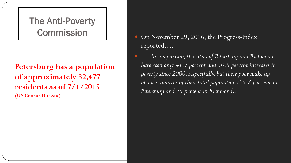# The Anti-Poverty

**Petersburg has a population of approximately 32,477 residents as of 7/1/2015 (US Census Bureau)**

- Commission On November 29, 2016, the Progress-Index reported….
	- *" In comparison, the cities of Petersburg and Richmond have seen only 41.7 percent and 50.5 percent increases in poverty since 2000, respectfully, but their poor make up about a quarter of their total population (25.8 per cent in Petersburg and 25 percent in Richmond).*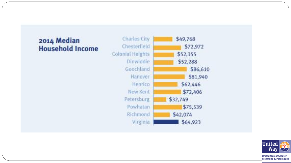### 2014 Median **Household Income**





**United Way of Greater Richmond & Petersburg**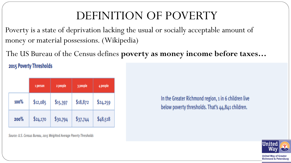# DEFINITION OF POVERTY

Poverty is a state of deprivation lacking the usual or socially acceptable amount of money or material possessions. (Wikipedia)

The US Bureau of the Census defines **poverty as money income before taxes…**

2015 Poverty Thresholds

|         | 1 person | 2 people | 3 people | 4 people |
|---------|----------|----------|----------|----------|
| $100\%$ | \$12,085 | \$15,397 | \$18,872 | \$24,259 |
| 200%    | \$24,170 | \$30,794 | \$37,744 | \$48,518 |

Source: U.S. Census Bureau, 2015 Weighted Average Poverty Thresholds

In the Greater Richmond region, 1 in 6 children live below poverty thresholds. That's 44,841 children.



**Richmond & Petersburg**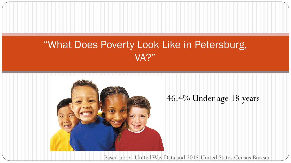# "What Does Poverty Look Like in Petersburg, VA?"



### 46.4% Under age 18 years

Based upon United Way Data and 2015 United States Census Bureau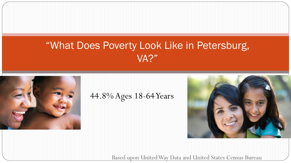# "What Does Poverty Look Like in Petersburg, VA?"



44.8% Ages 18-64 Years



Based upon United Way Data and United States Census Bureau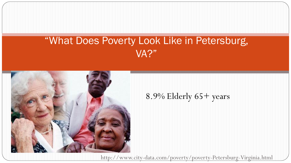# "What Does Poverty Look Like in Petersburg, VA?"



### 8.9% Elderly 65+ years

http://www.city-data.com/poverty/poverty-Petersburg-Virginia.html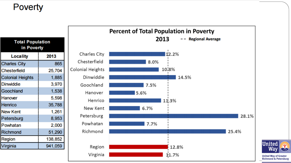## **Poverty**

| <b>Total Population</b><br>in Poverty |         |  |  |  |
|---------------------------------------|---------|--|--|--|
| Locality                              | 2013    |  |  |  |
| <b>Charles City</b>                   | 865     |  |  |  |
| <b>Chesterfield</b>                   | 25,704  |  |  |  |
| <b>Colonial Heights</b>               | 1,885   |  |  |  |
| <b>Dinwiddie</b>                      | 3,970   |  |  |  |
| Goochland                             | 1,538   |  |  |  |
| Hanover                               | 5,598   |  |  |  |
| Henrico                               | 35,788  |  |  |  |
| <b>New Kent</b>                       | 1,261   |  |  |  |
| Petersburg                            | 8,953   |  |  |  |
| Powhatan                              | 2,000   |  |  |  |
| Richmond                              | 51,290  |  |  |  |
| Region                                | 138,852 |  |  |  |
| Virginia                              | 941,059 |  |  |  |



**United** Way S,

**United Way of Greater<br>Richmond & Petersburg**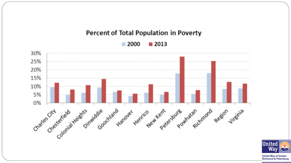

#### **United Way of Greater Richmond & Petersburg**

Way

S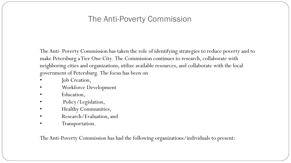The Anti- Poverty Commission has taken the role of identifying strategies to reduce poverty and to make Petersburg a Tier One City. The Commission continues to research, collaborate with neighboring cities and organizations, utilize available resources, and collaborate with the local government of Petersburg. The focus has been on

- Job Creation,
- Workforce Development
- Education,
- Policy/Legislation,
- Healthy Communities,
- Research/Evaluation, and
- Transportation.

The Anti-Poverty Commission has had the following organizations/individuals to present: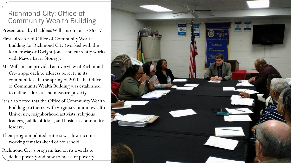### Richmond City: Office of Community Wealth Building

Presentation by Thaddeus Williamson on 1/26/17

- First Director of Office of Community Wealth Building for Richmond City (worked with the former Mayor Dwight Jones and currently works with Mayor Lavar Stoney).
- Mr. Williamson provided an overview of Richmond City's approach to address poverty in its communities. In the spring of 2011, the Office of Community Wealth Building was established to define, address, and measure poverty.
- It is also noted that the Office of Community Wealth Building partnered with Virginia Commonwealth University, neighborhood activists, religious leaders, public officials, and business community leaders.
- Their program piloted criteria was low income working females -head of household.
- Richmond City's program had on its agenda to define poverty and how to measure poverty.

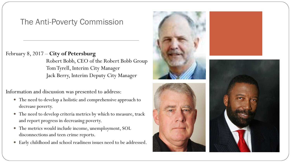#### February 8, 2017 – **City of Petersburg**

Robert Bobb, CEO of the Robert Bobb Group Tom Tyrell, Interim City Manager Jack Berry, Interim Deputy City Manager

Information and discussion was presented to address:

- The need to develop a holistic and comprehensive approach to decrease poverty.
- The need to develop criteria metrics by which to measure, track and report progress in decreasing poverty.
- The metrics would include income, unemployment, SOL disconnections and teen crime reports.
- Early childhood and school readiness issues need to be addressed.





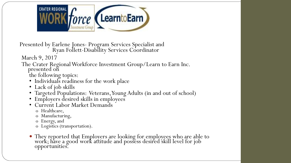

Presented by Earlene Jones- Program Services Specialist and Ryan Follett-Disability Services Coordinator

March 9, 2017

#### The Crater Regional Workforce Investment Group/Learn to Earn Inc. presented on

the following topics:

- Individuals readiness for the work place
- Lack of job skills
- Targeted Populations: Veterans, Young Adults (in and out of school)
- Employers desired skills in employees
- Current Labor Market Demands
	- o Healthcare,
	- o Manufacturing,
	- o Energy, and
	- o Logistics (transportation).
- They reported that Employers are looking for employees who are able to work; have a good work attitude and possess desired skill level for job opportunities.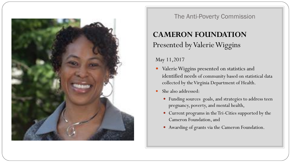

### **CAMERON FOUNDATION** Presented by Valerie Wiggins

#### May 11,2017

- identified needs of community based on statistical data Valerie Wiggins presented on statistics and collected by the Virginia Department of Health.
- She also addressed:
	- Funding sources goals, and strategies to address teen pregnancy, poverty, and mental health,
	- Current programs in the Tri-Cities supported by the Cameron Foundation, and
	- Awarding of grants via the Cameron Foundation.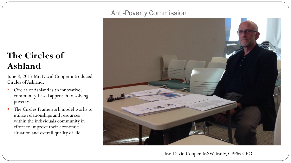### **The Circles of Ashland**

June 8, 2017 Mr. David Cooper introduced Circles of Ashland.

- Circles of Ashland is an innovative, community-based approach to solving poverty.
- The Circles Framework model works to utilize relationships and resources within the individuals community in effort to improve their economic situation and overall quality of life.

### Anti-Poverty Commission



Mr. David Cooper, MSW, Mdiv, CPPM CEO.